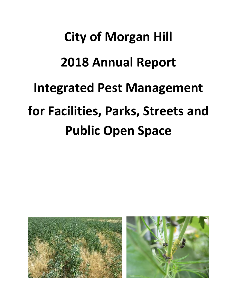# **City of Morgan Hill 2018 Annual Report Integrated Pest Management for Facilities, Parks, Streets and Public Open Space**

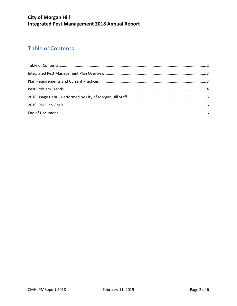# <span id="page-1-0"></span>**Table of Contents**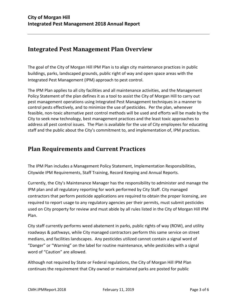#### <span id="page-2-0"></span>**Integrated Pest Management Plan Overview**

The goal of the City of Morgan Hill IPM Plan is to align city maintenance practices in public buildings, parks, landscaped grounds, public right of way and open space areas with the Integrated Pest Management (IPM) approach to pest control.

The IPM Plan applies to all city facilities and all maintenance activities, and the Management Policy Statement of the plan defines it as a tool to assist the City of Morgan Hill to carry out pest management operations using Integrated Pest Management techniques in a manner to control pests effectively, and to minimize the use of pesticides. Per the plan, whenever feasible, non-toxic alternative pest control methods will be used and efforts will be made by the City to seek new technology, best management practices and the least toxic approaches to address all pest control issues. The Plan is available for the use of City employees for educating staff and the public about the City's commitment to, and implementation of, IPM practices.

#### <span id="page-2-1"></span>**Plan Requirements and Current Practices**

The IPM Plan includes a Management Policy Statement, Implementation Responsibilities, Citywide IPM Requirements, Staff Training, Record Keeping and Annual Reports.

Currently, the City's Maintenance Manager has the responsibility to administer and manage the IPM plan and all regulatory reporting for work performed by City Staff. City managed contractors that perform pesticide applications are required to obtain the proper licensing, are required to report usage to any regulatory agencies per their permits, must submit pesticides used on City property for review and must abide by all rules listed in the City of Morgan Hill IPM Plan.

City staff currently performs weed abatement in parks, public rights of way (ROW), and utility roadways & pathways, while City managed contractors perform this same service on street medians, and facilities landscapes. Any pesticides utilized cannot contain a signal word of "Danger" or "Warning" on the label for routine maintenance, while pesticides with a signal word of "Caution" are allowed.

Although not required by State or Federal regulations, the City of Morgan Hill IPM Plan continues the requirement that City owned or maintained parks are posted for public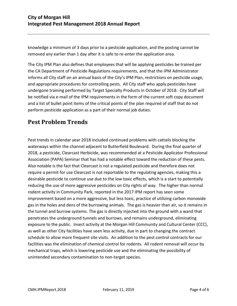knowledge a minimum of 3 days prior to a pesticide application, and the posting cannot be removed any earlier than 1 day after it is safe to re-enter the application area.

The City IPM Plan also defines that employees that will be applying pesticides be trained per the CA Department of Pesticide Regulations requirements, and that the IPM Administrator informs all City staff on an annual basis of the City's IPM Plan, restrictions on pesticide usage, and appropriate procedures for controlling pests. All City staff who apply pesticides have undergone training performed by Target Specialty Products in October of 2018. City Staff will be notified via e-mail of the IPM requirements in the form of the current soft copy document and a list of bullet point items of the critical points of the plan required of staff that do not perform pesticide application as a part of their normal job duties.

## <span id="page-3-0"></span>**Pest Problem Trends**

Pest trends in calendar year 2018 included continued problems with cattails blocking the waterways within the channel adjacent to Butterfield Boulevard. During the final quarter of 2018, a pesticide, Clearcast Herbicide, was recommended at a Pesticide Applicator Professional Association (PAPA) Seminar that has had a notable effect toward the reduction of these pests. Also notable is the fact that Clearcast is not a regulated pesticide and therefore does not require a permit for use Clearcast is not reportable to the regulating agencies, making this a desirable pesticide to continue use due to the low toxic effects, which is a start to potentially reducing the use of more aggressive pesticides on City rights of way. The higher than normal rodent activity in Community Park, reported in the 2017 IPM report has seen some improvement based on a more aggressive, but less toxic, practice of utilizing carbon monoxide gas in the holes and dens of the burrowing animals. The gas is heavier than air, so it remains in the tunnel and burrow systems. The gas is directly injected into the ground with a wand that penetrates the underground tunnels and burrows, and remains underground, eliminating exposure to the public. Insect activity at the Morgan Hill Community and Cultural Center (CCC), as well as other City facilities have seen less activity, due in part to changing the contract schedule to allow more frequent site visits. An addition to the pest control contracts for our facilities was the elimination of chemical control for rodents. All rodent removal will occur by mechanical traps, which is lowering pesticide use and the eliminating the possibility of unintended secondary contamination to non-target species.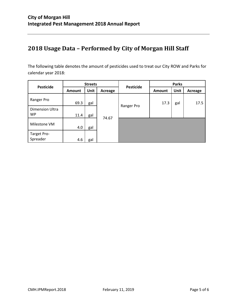# <span id="page-4-0"></span>**2018 Usage Data – Performed by City of Morgan Hill Staff**

The following table denotes the amount of pesticides used to treat our City ROW and Parks for calendar year 2018:

| <b>Pesticide</b>                    | <b>Streets</b> |      |         | <b>Pesticide</b> | <b>Parks</b> |      |         |
|-------------------------------------|----------------|------|---------|------------------|--------------|------|---------|
|                                     | <b>Amount</b>  | Unit | Acreage |                  | Amount       | Unit | Acreage |
| Ranger Pro                          | 69.3           | gal  |         |                  | 17.3         | gal  | 17.5    |
| <b>Dimension Ultra</b><br><b>WP</b> | 11.4           | gal  |         | Ranger Pro       |              |      |         |
| Milestone VM                        | 4.0            | gal  | 74.67   |                  |              |      |         |
| Target Pro-<br>Spreader             | 4.6            | gal  |         |                  |              |      |         |